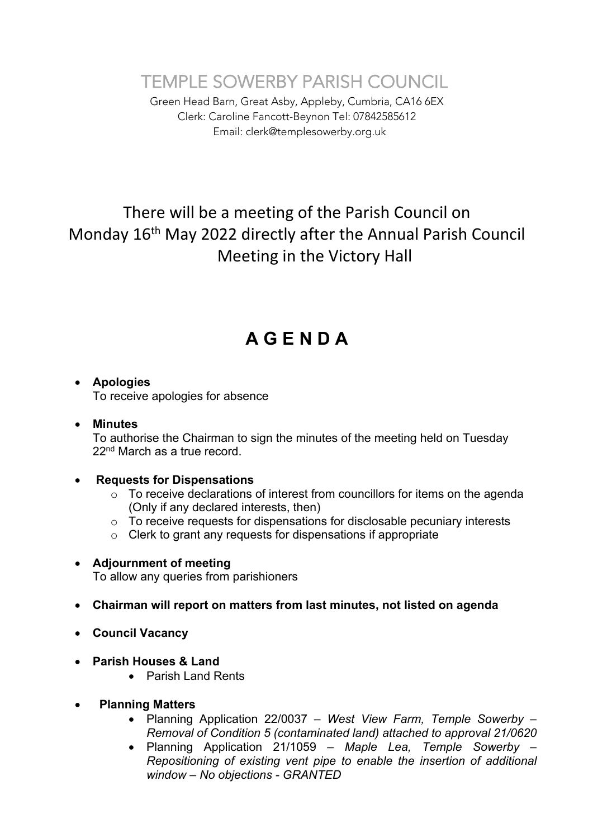TEMPLE SOWERBY PARISH COUNCIL

Green Head Barn, Great Asby, Appleby, Cumbria, CA16 6EX Clerk: Caroline Fancott-Beynon Tel: 07842585612 Email: clerk@templesowerby.org.uk

## There will be a meeting of the Parish Council on Monday 16<sup>th</sup> May 2022 directly after the Annual Parish Council Meeting in the Victory Hall

# **A G E N D A**

### • **Apologies**

To receive apologies for absence

### • **Minutes**

To authorise the Chairman to sign the minutes of the meeting held on Tuesday 22<sup>nd</sup> March as a true record.

### • **Requests for Dispensations**

- o To receive declarations of interest from councillors for items on the agenda (Only if any declared interests, then)
- o To receive requests for dispensations for disclosable pecuniary interests
- o Clerk to grant any requests for dispensations if appropriate

### • **Adjournment of meeting**

To allow any queries from parishioners

- **Chairman will report on matters from last minutes, not listed on agenda**
- **Council Vacancy**
- **Parish Houses & Land**
	- Parish Land Rents
- • **Planning Matters**
	- Planning Application 22/0037 *– West View Farm, Temple Sowerby – Removal of Condition 5 (contaminated land) attached to approval 21/0620*
	- Planning Application 21/1059 *– Maple Lea, Temple Sowerby – Repositioning of existing vent pipe to enable the insertion of additional window – No objections - GRANTED*